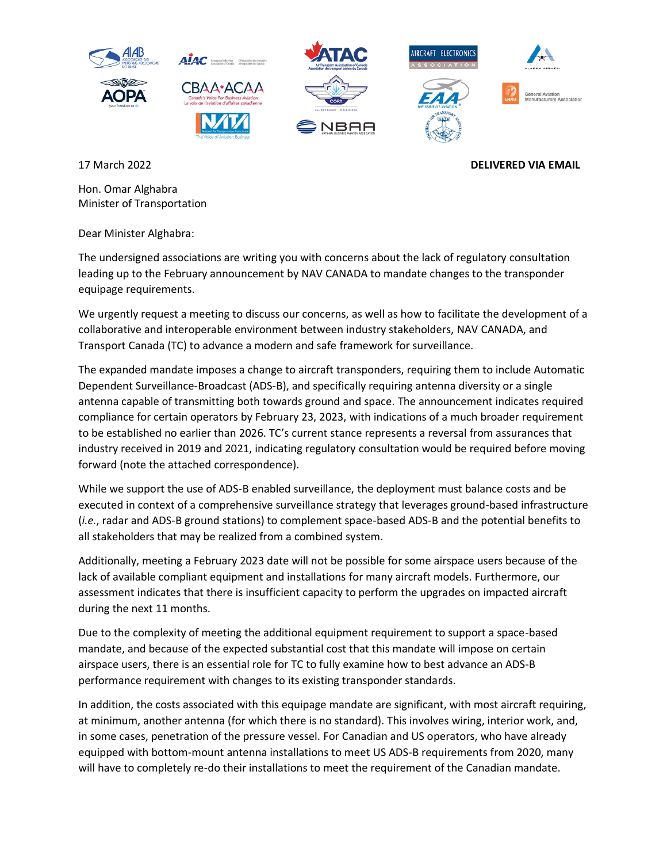

## 17 March 2022 **DELIVERED VIA EMAIL**

Hon. Omar Alghabra Minister of Transportation

Dear Minister Alghabra:

The undersigned associations are writing you with concerns about the lack of regulatory consultation leading up to the February announcement by NAV CANADA to mandate changes to the transponder equipage requirements.

We urgently request a meeting to discuss our concerns, as well as how to facilitate the development of a collaborative and interoperable environment between industry stakeholders, NAV CANADA, and Transport Canada (TC) to advance a modern and safe framework for surveillance.

The expanded mandate imposes a change to aircraft transponders, requiring them to include Automatic Dependent Surveillance-Broadcast (ADS-B), and specifically requiring antenna diversity or a single antenna capable of transmitting both towards ground and space. The announcement indicates required compliance for certain operators by February 23, 2023, with indications of a much broader requirement to be established no earlier than 2026. TC's current stance represents a reversal from assurances that industry received in 2019 and 2021, indicating regulatory consultation would be required before moving forward (note the attached correspondence).

While we support the use of ADS-B enabled surveillance, the deployment must balance costs and be executed in context of a comprehensive surveillance strategy that leverages ground-based infrastructure (*i.e.*, radar and ADS-B ground stations) to complement space-based ADS-B and the potential benefits to all stakeholders that may be realized from a combined system.

Additionally, meeting a February 2023 date will not be possible for some airspace users because of the lack of available compliant equipment and installations for many aircraft models. Furthermore, our assessment indicates that there is insufficient capacity to perform the upgrades on impacted aircraft during the next 11 months.

Due to the complexity of meeting the additional equipment requirement to support a space-based mandate, and because of the expected substantial cost that this mandate will impose on certain airspace users, there is an essential role for TC to fully examine how to best advance an ADS-B performance requirement with changes to its existing transponder standards.

In addition, the costs associated with this equipage mandate are significant, with most aircraft requiring, at minimum, another antenna (for which there is no standard). This involves wiring, interior work, and, in some cases, penetration of the pressure vessel. For Canadian and US operators, who have already equipped with bottom-mount antenna installations to meet US ADS-B requirements from 2020, many will have to completely re-do their installations to meet the requirement of the Canadian mandate.